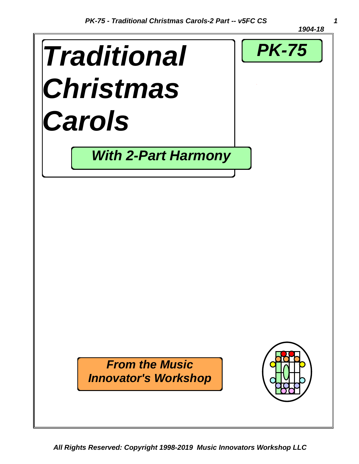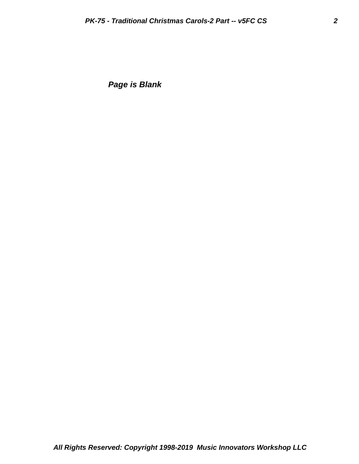*Page is Blank*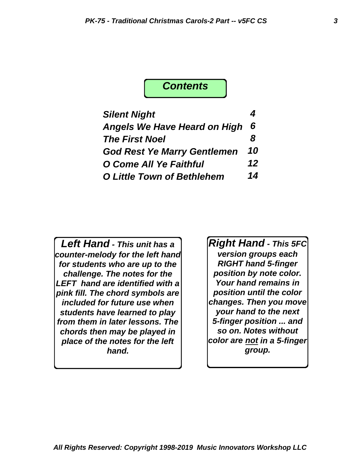#### *Contents*

| <b>Silent Night</b><br><b>Angels We Have Heard on High</b><br><b>The First Noel</b><br><b>God Rest Ye Marry Gentlemen</b><br><b>O Come All Ye Faithful</b><br><b>O Little Town of Bethlehem</b> |               |    |
|-------------------------------------------------------------------------------------------------------------------------------------------------------------------------------------------------|---------------|----|
|                                                                                                                                                                                                 | 6             |    |
|                                                                                                                                                                                                 | 8<br>10<br>12 |    |
|                                                                                                                                                                                                 |               | 14 |

*Left Hand - This unit has a counter-melody for the left hand for students who are up to the challenge. The notes for the LEFT hand are identified with a pink fill. The chord symbols are included for future use when students have learned to play from them in later lessons. The chords then may be played in place of the notes for the left hand.*

*Right Hand - This 5FC version groups each RIGHT hand 5-finger position by note color. Your hand remains in position until the color changes. Then you move your hand to the next 5-finger position ... and so on. Notes without color are not in a 5-finger group.*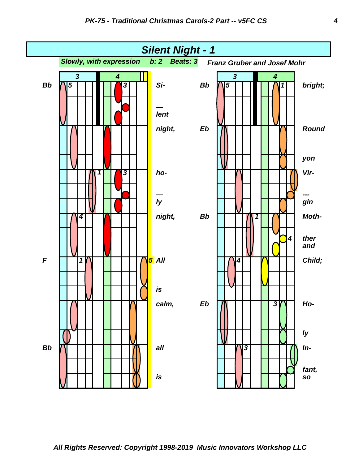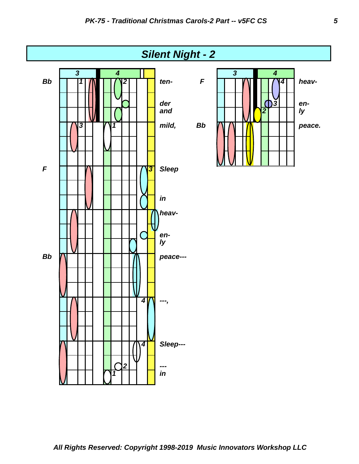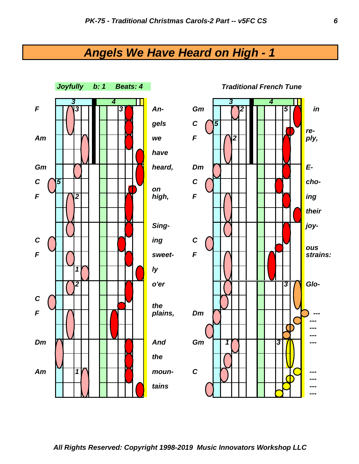# **Angels We Have Heard on High - 1**

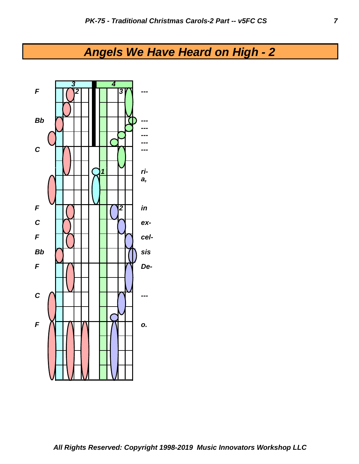**Angels We Have Heard on High - 2** 

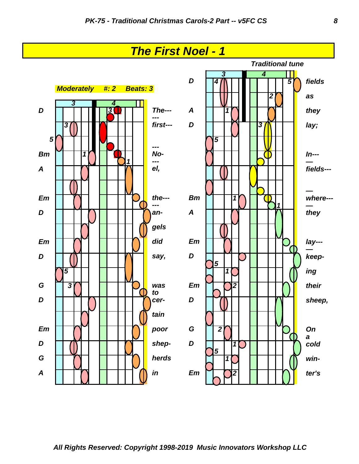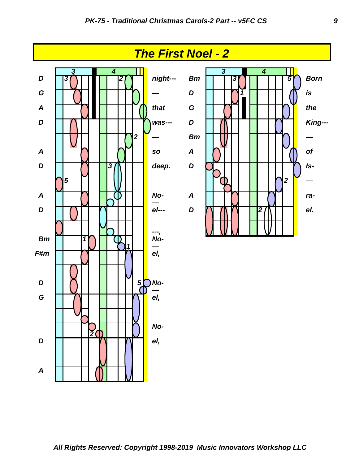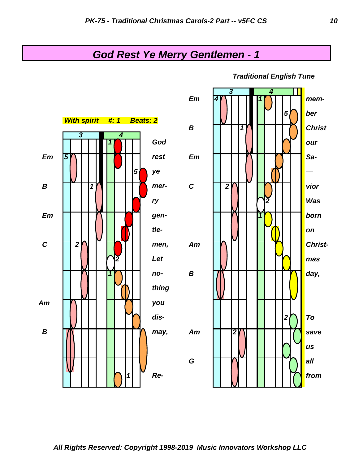# *God Rest Ye Merry Gentlemen - 1*



*Traditional English Tune*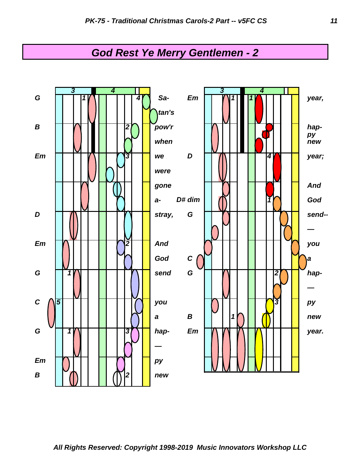*God Rest Ye Merry Gentlemen - 2*

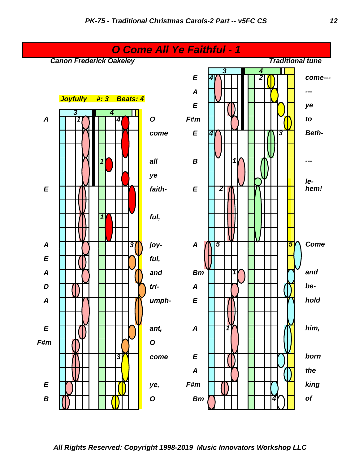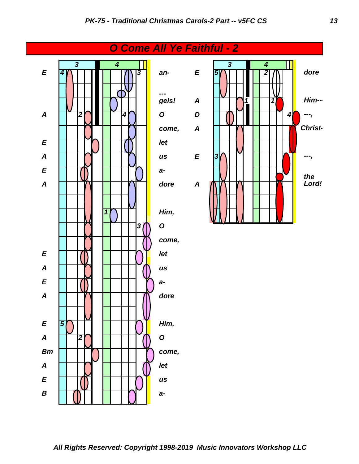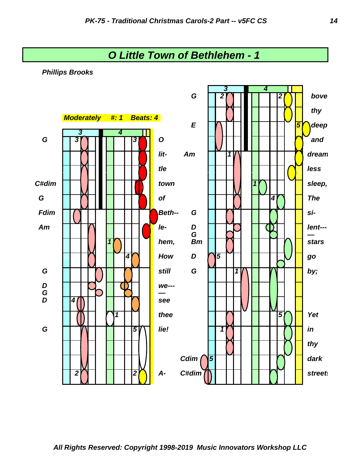## O Little Town of Bethlehem - 1

**Phillips Brooks** 

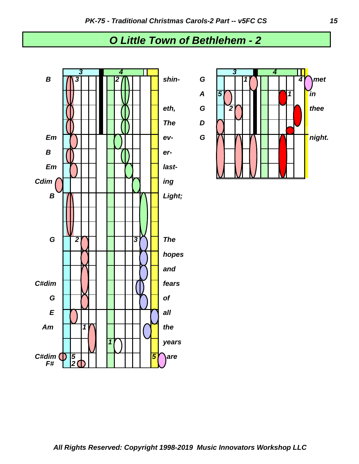## O Little Town of Bethlehem - 2